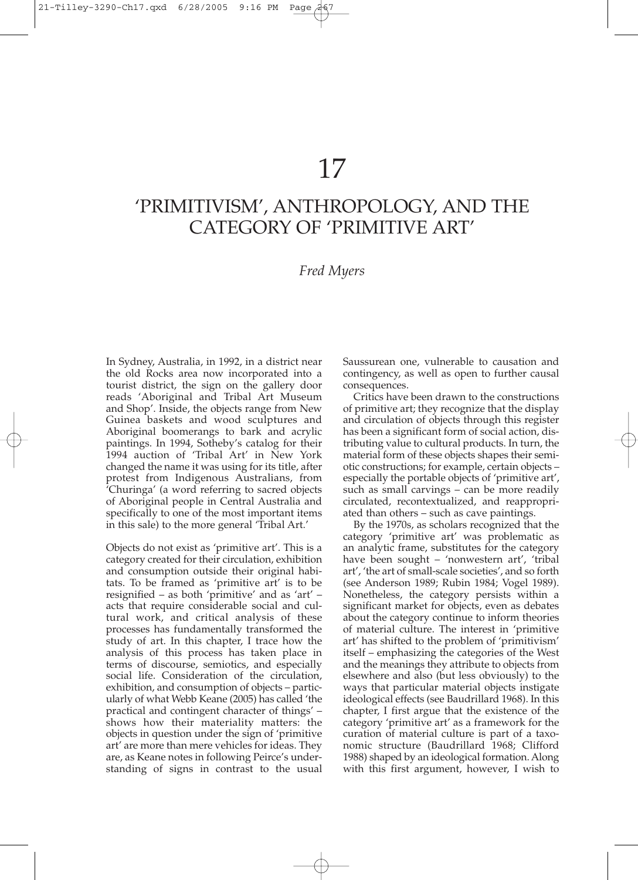# 17

## 'PRIMITIVISM', ANTHROPOLOGY, AND THE CATEGORY OF 'PRIMITIVE ART'

## *Fred Myers*

In Sydney, Australia, in 1992, in a district near the old Rocks area now incorporated into a tourist district, the sign on the gallery door reads 'Aboriginal and Tribal Art Museum and Shop'. Inside, the objects range from New Guinea baskets and wood sculptures and Aboriginal boomerangs to bark and acrylic paintings. In 1994, Sotheby's catalog for their 1994 auction of 'Tribal Art' in New York changed the name it was using for its title, after protest from Indigenous Australians, from 'Churinga' (a word referring to sacred objects of Aboriginal people in Central Australia and specifically to one of the most important items in this sale) to the more general 'Tribal Art.'

Objects do not exist as 'primitive art'. This is a category created for their circulation, exhibition and consumption outside their original habitats. To be framed as 'primitive art' is to be resignified – as both 'primitive' and as 'art' – acts that require considerable social and cultural work, and critical analysis of these processes has fundamentally transformed the study of art. In this chapter, I trace how the analysis of this process has taken place in terms of discourse, semiotics, and especially social life. Consideration of the circulation, exhibition, and consumption of objects – particularly of what Webb Keane (2005) has called 'the practical and contingent character of things' – shows how their materiality matters: the objects in question under the sign of 'primitive art' are more than mere vehicles for ideas. They are, as Keane notes in following Peirce's understanding of signs in contrast to the usual Saussurean one, vulnerable to causation and contingency, as well as open to further causal consequences.

Critics have been drawn to the constructions of primitive art; they recognize that the display and circulation of objects through this register has been a significant form of social action, distributing value to cultural products. In turn, the material form of these objects shapes their semiotic constructions; for example, certain objects – especially the portable objects of 'primitive art', such as small carvings – can be more readily circulated, recontextualized, and reappropriated than others – such as cave paintings.

By the 1970s, as scholars recognized that the category 'primitive art' was problematic as an analytic frame, substitutes for the category have been sought – 'nonwestern art', 'tribal art', 'the art of small-scale societies', and so forth (see Anderson 1989; Rubin 1984; Vogel 1989). Nonetheless, the category persists within a significant market for objects, even as debates about the category continue to inform theories of material culture. The interest in 'primitive art' has shifted to the problem of 'primitivism' itself – emphasizing the categories of the West and the meanings they attribute to objects from elsewhere and also (but less obviously) to the ways that particular material objects instigate ideological effects (see Baudrillard 1968). In this chapter, I first argue that the existence of the category 'primitive art' as a framework for the curation of material culture is part of a taxonomic structure (Baudrillard 1968; Clifford 1988) shaped by an ideological formation. Along with this first argument, however, I wish to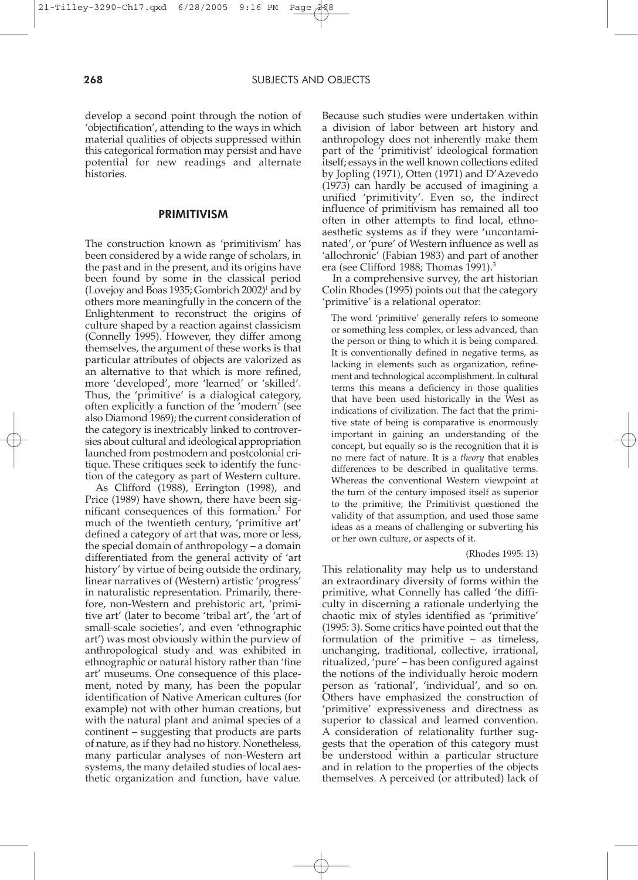develop a second point through the notion of 'objectification', attending to the ways in which material qualities of objects suppressed within this categorical formation may persist and have potential for new readings and alternate histories.

## PRIMITIVISM

The construction known as 'primitivism' has been considered by a wide range of scholars, in the past and in the present, and its origins have been found by some in the classical period (Lovejoy and Boas 1935; Gombrich  $2002$ <sup>1</sup> and by others more meaningfully in the concern of the Enlightenment to reconstruct the origins of culture shaped by a reaction against classicism (Connelly 1995). However, they differ among themselves, the argument of these works is that particular attributes of objects are valorized as an alternative to that which is more refined, more 'developed', more 'learned' or 'skilled'. Thus, the 'primitive' is a dialogical category, often explicitly a function of the 'modern' (see also Diamond 1969); the current consideration of the category is inextricably linked to controversies about cultural and ideological appropriation launched from postmodern and postcolonial critique. These critiques seek to identify the function of the category as part of Western culture.

As Clifford (1988), Errington (1998), and Price (1989) have shown, there have been significant consequences of this formation.<sup>2</sup> For much of the twentieth century, 'primitive art' defined a category of art that was, more or less, the special domain of anthropology – a domain differentiated from the general activity of 'art history' by virtue of being outside the ordinary, linear narratives of (Western) artistic 'progress' in naturalistic representation. Primarily, therefore, non-Western and prehistoric art, 'primitive art' (later to become 'tribal art', the 'art of small-scale societies', and even 'ethnographic art') was most obviously within the purview of anthropological study and was exhibited in ethnographic or natural history rather than 'fine art' museums. One consequence of this placement, noted by many, has been the popular identification of Native American cultures (for example) not with other human creations, but with the natural plant and animal species of a continent – suggesting that products are parts of nature, as if they had no history. Nonetheless, many particular analyses of non-Western art systems, the many detailed studies of local aesthetic organization and function, have value.

Because such studies were undertaken within a division of labor between art history and anthropology does not inherently make them part of the 'primitivist' ideological formation itself; essays in the well known collections edited by Jopling (1971), Otten (1971) and D'Azevedo (1973) can hardly be accused of imagining a unified 'primitivity'. Even so, the indirect influence of primitivism has remained all too often in other attempts to find local, ethnoaesthetic systems as if they were 'uncontaminated', or 'pure' of Western influence as well as 'allochronic' (Fabian 1983) and part of another era (see Clifford 1988; Thomas 1991).<sup>3</sup>

In a comprehensive survey, the art historian Colin Rhodes (1995) points out that the category 'primitive' is a relational operator:

The word 'primitive' generally refers to someone or something less complex, or less advanced, than the person or thing to which it is being compared. It is conventionally defined in negative terms, as lacking in elements such as organization, refinement and technological accomplishment. In cultural terms this means a deficiency in those qualities that have been used historically in the West as indications of civilization. The fact that the primitive state of being is comparative is enormously important in gaining an understanding of the concept, but equally so is the recognition that it is no mere fact of nature. It is a *theory* that enables differences to be described in qualitative terms. Whereas the conventional Western viewpoint at the turn of the century imposed itself as superior to the primitive, the Primitivist questioned the validity of that assumption, and used those same ideas as a means of challenging or subverting his or her own culture, or aspects of it.

#### (Rhodes 1995: 13)

This relationality may help us to understand an extraordinary diversity of forms within the primitive, what Connelly has called 'the difficulty in discerning a rationale underlying the chaotic mix of styles identified as 'primitive' (1995: 3). Some critics have pointed out that the formulation of the primitive – as timeless, unchanging, traditional, collective, irrational, ritualized, 'pure' – has been configured against the notions of the individually heroic modern person as 'rational', 'individual', and so on. Others have emphasized the construction of 'primitive' expressiveness and directness as superior to classical and learned convention. A consideration of relationality further suggests that the operation of this category must be understood within a particular structure and in relation to the properties of the objects themselves. A perceived (or attributed) lack of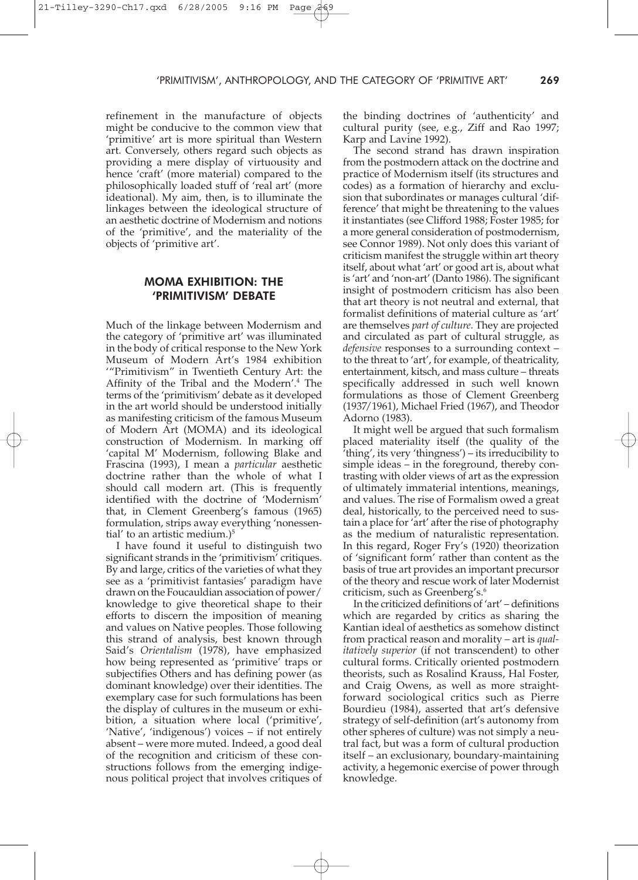refinement in the manufacture of objects might be conducive to the common view that 'primitive' art is more spiritual than Western art. Conversely, others regard such objects as providing a mere display of virtuousity and hence 'craft' (more material) compared to the philosophically loaded stuff of 'real art' (more ideational). My aim, then, is to illuminate the linkages between the ideological structure of an aesthetic doctrine of Modernism and notions of the 'primitive', and the materiality of the objects of 'primitive art'.

## MOMA EXHIBITION: THE 'PRIMITIVISM' DEBATE

Much of the linkage between Modernism and the category of 'primitive art' was illuminated in the body of critical response to the New York Museum of Modern Art's 1984 exhibition '"Primitivism" in Twentieth Century Art: the Affinity of the Tribal and the Modern'.4 The terms of the 'primitivism' debate as it developed in the art world should be understood initially as manifesting criticism of the famous Museum of Modern Art (MOMA) and its ideological construction of Modernism. In marking off 'capital M' Modernism, following Blake and Frascina (1993), I mean a *particular* aesthetic doctrine rather than the whole of what I should call modern art. (This is frequently identified with the doctrine of 'Modernism' that, in Clement Greenberg's famous (1965) formulation, strips away everything 'nonessential' to an artistic medium.)<sup>5</sup>

I have found it useful to distinguish two significant strands in the 'primitivism' critiques. By and large, critics of the varieties of what they see as a 'primitivist fantasies' paradigm have drawn on the Foucauldian association of power/ knowledge to give theoretical shape to their efforts to discern the imposition of meaning and values on Native peoples. Those following this strand of analysis, best known through Said's *Orientalism* (1978), have emphasized how being represented as 'primitive' traps or subjectifies Others and has defining power (as dominant knowledge) over their identities. The exemplary case for such formulations has been the display of cultures in the museum or exhibition, a situation where local ('primitive', 'Native', 'indigenous') voices – if not entirely absent – were more muted. Indeed, a good deal of the recognition and criticism of these constructions follows from the emerging indigenous political project that involves critiques of

the binding doctrines of 'authenticity' and cultural purity (see, e.g., Ziff and Rao 1997; Karp and Lavine 1992).

The second strand has drawn inspiration from the postmodern attack on the doctrine and practice of Modernism itself (its structures and codes) as a formation of hierarchy and exclusion that subordinates or manages cultural 'difference' that might be threatening to the values it instantiates (see Clifford 1988; Foster 1985; for a more general consideration of postmodernism, see Connor 1989). Not only does this variant of criticism manifest the struggle within art theory itself, about what 'art' or good art is, about what is 'art' and 'non-art' (Danto 1986). The significant insight of postmodern criticism has also been that art theory is not neutral and external, that formalist definitions of material culture as 'art' are themselves *part of culture*. They are projected and circulated as part of cultural struggle, as *defensive* responses to a surrounding context – to the threat to 'art', for example, of theatricality, entertainment, kitsch, and mass culture – threats specifically addressed in such well known formulations as those of Clement Greenberg (1937/1961), Michael Fried (1967), and Theodor Adorno (1983).

It might well be argued that such formalism placed materiality itself (the quality of the  $\bar{f}$ thing', its very 'thingness') – its irreducibility to simple ideas – in the foreground, thereby contrasting with older views of art as the expression of ultimately immaterial intentions, meanings, and values. The rise of Formalism owed a great deal, historically, to the perceived need to sustain a place for 'art' after the rise of photography as the medium of naturalistic representation. In this regard, Roger Fry's (1920) theorization of 'significant form' rather than content as the basis of true art provides an important precursor of the theory and rescue work of later Modernist criticism, such as Greenberg's.<sup>6</sup>

In the criticized definitions of 'art' – definitions which are regarded by critics as sharing the Kantian ideal of aesthetics as somehow distinct from practical reason and morality – art is *qualitatively superior* (if not transcendent) to other cultural forms. Critically oriented postmodern theorists, such as Rosalind Krauss, Hal Foster, and Craig Owens, as well as more straightforward sociological critics such as Pierre Bourdieu (1984), asserted that art's defensive strategy of self-definition (art's autonomy from other spheres of culture) was not simply a neutral fact, but was a form of cultural production itself – an exclusionary, boundary-maintaining activity, a hegemonic exercise of power through knowledge.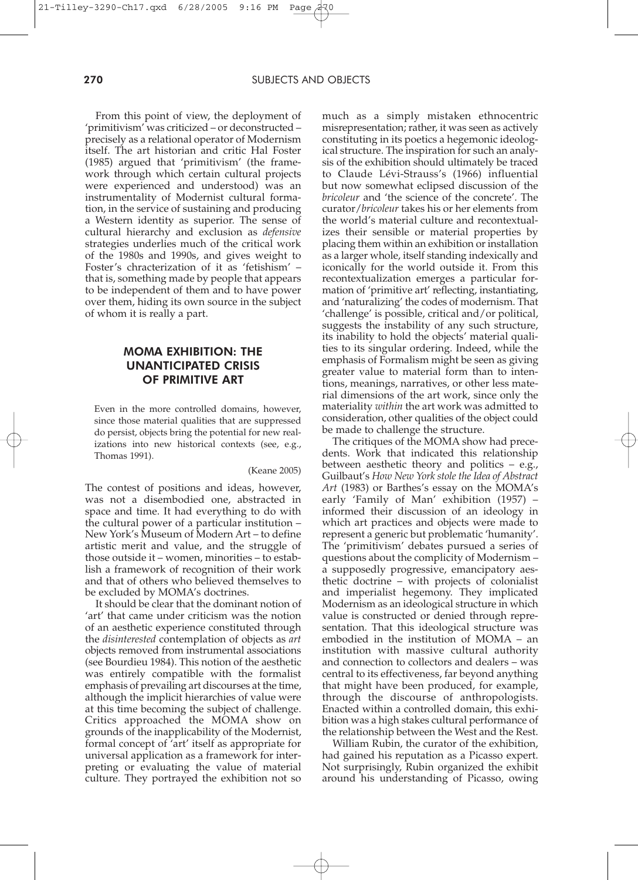From this point of view, the deployment of 'primitivism' was criticized – or deconstructed – precisely as a relational operator of Modernism itself. The art historian and critic Hal Foster (1985) argued that 'primitivism' (the framework through which certain cultural projects were experienced and understood) was an instrumentality of Modernist cultural formation, in the service of sustaining and producing a Western identity as superior. The sense of cultural hierarchy and exclusion as *defensive* strategies underlies much of the critical work of the 1980s and 1990s, and gives weight to Foster's chracterization of it as 'fetishism' – that is, something made by people that appears to be independent of them and to have power over them, hiding its own source in the subject of whom it is really a part.

## MOMA EXHIBITION: THE UNANTICIPATED CRISIS OF PRIMITIVE ART

Even in the more controlled domains, however, since those material qualities that are suppressed do persist, objects bring the potential for new realizations into new historical contexts (see, e.g., Thomas 1991).

#### (Keane 2005)

The contest of positions and ideas, however, was not a disembodied one, abstracted in space and time. It had everything to do with the cultural power of a particular institution – New York's Museum of Modern Art – to define artistic merit and value, and the struggle of those outside it – women, minorities – to establish a framework of recognition of their work and that of others who believed themselves to be excluded by MOMA's doctrines.

It should be clear that the dominant notion of 'art' that came under criticism was the notion of an aesthetic experience constituted through the *disinterested* contemplation of objects as *art* objects removed from instrumental associations (see Bourdieu 1984). This notion of the aesthetic was entirely compatible with the formalist emphasis of prevailing art discourses at the time, although the implicit hierarchies of value were at this time becoming the subject of challenge. Critics approached the MOMA show on grounds of the inapplicability of the Modernist, formal concept of 'art' itself as appropriate for universal application as a framework for interpreting or evaluating the value of material culture. They portrayed the exhibition not so much as a simply mistaken ethnocentric misrepresentation; rather, it was seen as actively constituting in its poetics a hegemonic ideological structure. The inspiration for such an analysis of the exhibition should ultimately be traced to Claude Lévi-Strauss's (1966) influential but now somewhat eclipsed discussion of the *bricoleur* and 'the science of the concrete'. The curator/*bricoleur* takes his or her elements from the world's material culture and recontextualizes their sensible or material properties by placing them within an exhibition or installation as a larger whole, itself standing indexically and iconically for the world outside it. From this recontextualization emerges a particular formation of 'primitive art' reflecting, instantiating, and 'naturalizing' the codes of modernism. That 'challenge' is possible, critical and/or political, suggests the instability of any such structure, its inability to hold the objects' material qualities to its singular ordering. Indeed, while the emphasis of Formalism might be seen as giving greater value to material form than to intentions, meanings, narratives, or other less material dimensions of the art work, since only the materiality *within* the art work was admitted to consideration, other qualities of the object could be made to challenge the structure.

The critiques of the MOMA show had precedents. Work that indicated this relationship between aesthetic theory and politics – e.g., Guilbaut's *How New York stole the Idea of Abstract Art* (1983) or Barthes's essay on the MOMA's early 'Family of Man' exhibition (1957) – informed their discussion of an ideology in which art practices and objects were made to represent a generic but problematic 'humanity'. The 'primitivism' debates pursued a series of questions about the complicity of Modernism – a supposedly progressive, emancipatory aesthetic doctrine – with projects of colonialist and imperialist hegemony. They implicated Modernism as an ideological structure in which value is constructed or denied through representation. That this ideological structure was embodied in the institution of MOMA – an institution with massive cultural authority and connection to collectors and dealers – was central to its effectiveness, far beyond anything that might have been produced, for example, through the discourse of anthropologists. Enacted within a controlled domain, this exhibition was a high stakes cultural performance of the relationship between the West and the Rest.

William Rubin, the curator of the exhibition, had gained his reputation as a Picasso expert. Not surprisingly, Rubin organized the exhibit around his understanding of Picasso, owing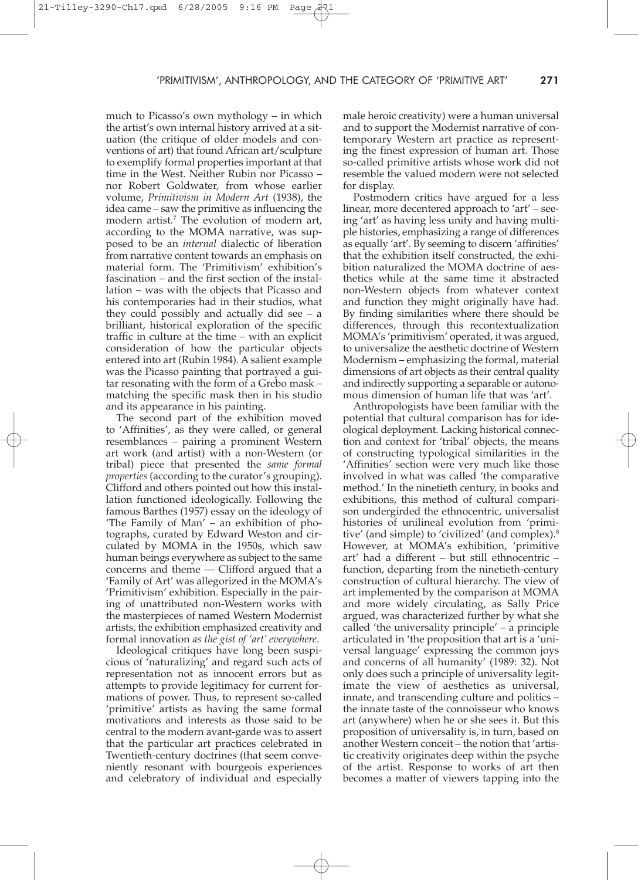much to Picasso's own mythology – in which the artist's own internal history arrived at a situation (the critique of older models and conventions of art) that found African art/sculpture to exemplify formal properties important at that time in the West. Neither Rubin nor Picasso – nor Robert Goldwater, from whose earlier volume, *Primitivism in Modern Art* (1938), the idea came – saw the primitive as influencing the modern artist.<sup>7</sup> The evolution of modern art, according to the MOMA narrative, was supposed to be an *internal* dialectic of liberation from narrative content towards an emphasis on material form. The 'Primitivism' exhibition's fascination – and the first section of the installation – was with the objects that Picasso and his contemporaries had in their studios, what they could possibly and actually did see  $-$  a brilliant, historical exploration of the specific traffic in culture at the time – with an explicit consideration of how the particular objects entered into art (Rubin 1984). A salient example was the Picasso painting that portrayed a guitar resonating with the form of a Grebo mask – matching the specific mask then in his studio and its appearance in his painting.

21-Tilley-3290-Ch17.qxd 6/28/2005

The second part of the exhibition moved to 'Affinities', as they were called, or general resemblances – pairing a prominent Western art work (and artist) with a non-Western (or tribal) piece that presented the *same formal properties* (according to the curator's grouping). Clifford and others pointed out how this installation functioned ideologically. Following the famous Barthes (1957) essay on the ideology of 'The Family of Man' – an exhibition of photographs, curated by Edward Weston and circulated by MOMA in the 1950s, which saw human beings everywhere as subject to the same concerns and theme — Clifford argued that a 'Family of Art' was allegorized in the MOMA's 'Primitivism' exhibition. Especially in the pairing of unattributed non-Western works with the masterpieces of named Western Modernist artists, the exhibition emphasized creativity and formal innovation *as the gist of 'art' everywhere*.

Ideological critiques have long been suspicious of 'naturalizing' and regard such acts of representation not as innocent errors but as attempts to provide legitimacy for current formations of power. Thus, to represent so-called 'primitive' artists as having the same formal motivations and interests as those said to be central to the modern avant-garde was to assert that the particular art practices celebrated in Twentieth-century doctrines (that seem conveniently resonant with bourgeois experiences and celebratory of individual and especially male heroic creativity) were a human universal and to support the Modernist narrative of contemporary Western art practice as representing the finest expression of human art. Those so-called primitive artists whose work did not resemble the valued modern were not selected for display.

Postmodern critics have argued for a less linear, more decentered approach to 'art' – seeing 'art' as having less unity and having multiple histories, emphasizing a range of differences as equally 'art'. By seeming to discern 'affinities' that the exhibition itself constructed, the exhibition naturalized the MOMA doctrine of aesthetics while at the same time it abstracted non-Western objects from whatever context and function they might originally have had. By finding similarities where there should be differences, through this recontextualization MOMA's 'primitivism' operated, it was argued, to universalize the aesthetic doctrine of Western Modernism – emphasizing the formal, material dimensions of art objects as their central quality and indirectly supporting a separable or autonomous dimension of human life that was 'art'.

Anthropologists have been familiar with the potential that cultural comparison has for ideological deployment. Lacking historical connection and context for 'tribal' objects, the means of constructing typological similarities in the 'Affinities' section were very much like those involved in what was called 'the comparative method.' In the ninetieth century, in books and exhibitions, this method of cultural comparison undergirded the ethnocentric, universalist histories of unilineal evolution from 'primitive' (and simple) to 'civilized' (and complex).8 However, at MOMA's exhibition, 'primitive art' had a different – but still ethnocentric – function, departing from the ninetieth-century construction of cultural hierarchy. The view of art implemented by the comparison at MOMA and more widely circulating, as Sally Price argued, was characterized further by what she called 'the universality principle' – a principle articulated in 'the proposition that art is a 'universal language' expressing the common joys and concerns of all humanity' (1989: 32). Not only does such a principle of universality legitimate the view of aesthetics as universal, innate, and transcending culture and politics – the innate taste of the connoisseur who knows art (anywhere) when he or she sees it. But this proposition of universality is, in turn, based on another Western conceit – the notion that 'artistic creativity originates deep within the psyche of the artist. Response to works of art then becomes a matter of viewers tapping into the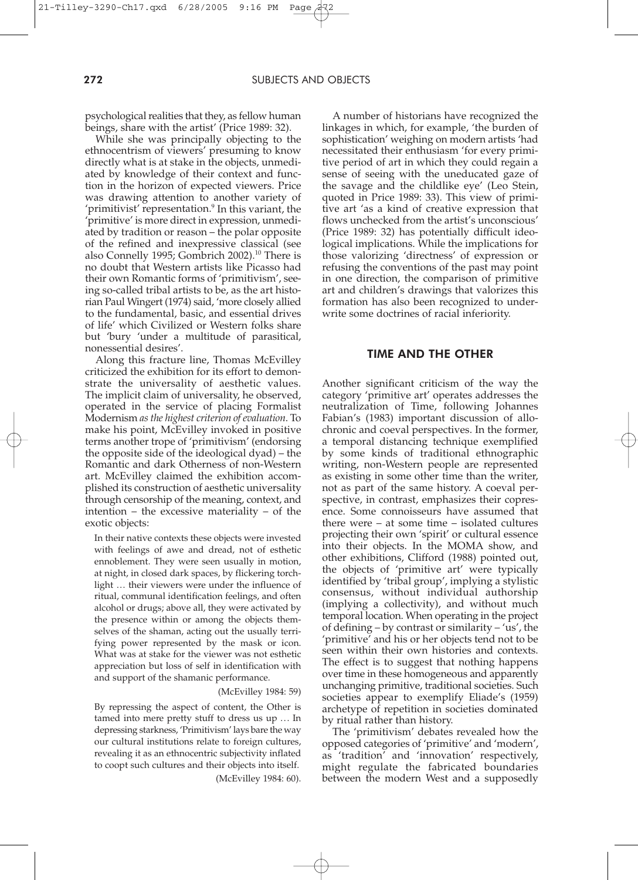psychological realities that they, as fellow human beings, share with the artist' (Price 1989: 32).

While she was principally objecting to the ethnocentrism of viewers' presuming to know directly what is at stake in the objects, unmediated by knowledge of their context and function in the horizon of expected viewers. Price was drawing attention to another variety of 'primitivist' representation.<sup>9</sup> In this variant, the 'primitive' is more direct in expression, unmediated by tradition or reason – the polar opposite of the refined and inexpressive classical (see also Connelly 1995; Gombrich 2002).10 There is no doubt that Western artists like Picasso had their own Romantic forms of 'primitivism', seeing so-called tribal artists to be, as the art historian Paul Wingert (1974) said, 'more closely allied to the fundamental, basic, and essential drives of life' which Civilized or Western folks share but 'bury 'under a multitude of parasitical, nonessential desires'.

Along this fracture line, Thomas McEvilley criticized the exhibition for its effort to demonstrate the universality of aesthetic values. The implicit claim of universality, he observed, operated in the service of placing Formalist Modernism *as the highest criterion of evaluation*. To make his point, McEvilley invoked in positive terms another trope of 'primitivism' (endorsing the opposite side of the ideological dyad) – the Romantic and dark Otherness of non-Western art. McEvilley claimed the exhibition accomplished its construction of aesthetic universality through censorship of the meaning, context, and intention – the excessive materiality – of the exotic objects:

In their native contexts these objects were invested with feelings of awe and dread, not of esthetic ennoblement. They were seen usually in motion, at night, in closed dark spaces, by flickering torchlight … their viewers were under the influence of ritual, communal identification feelings, and often alcohol or drugs; above all, they were activated by the presence within or among the objects themselves of the shaman, acting out the usually terrifying power represented by the mask or icon. What was at stake for the viewer was not esthetic appreciation but loss of self in identification with and support of the shamanic performance.

#### (McEvilley 1984: 59)

By repressing the aspect of content, the Other is tamed into mere pretty stuff to dress us up ... In depressing starkness, 'Primitivism' lays bare the way our cultural institutions relate to foreign cultures, revealing it as an ethnocentric subjectivity inflated to coopt such cultures and their objects into itself.

(McEvilley 1984: 60).

A number of historians have recognized the linkages in which, for example, 'the burden of sophistication' weighing on modern artists 'had necessitated their enthusiasm 'for every primitive period of art in which they could regain a sense of seeing with the uneducated gaze of the savage and the childlike eye' (Leo Stein, quoted in Price 1989: 33). This view of primitive art 'as a kind of creative expression that flows unchecked from the artist's unconscious' (Price 1989: 32) has potentially difficult ideological implications. While the implications for those valorizing 'directness' of expression or refusing the conventions of the past may point in one direction, the comparison of primitive art and children's drawings that valorizes this formation has also been recognized to underwrite some doctrines of racial inferiority.

## TIME AND THE OTHER

Another significant criticism of the way the category 'primitive art' operates addresses the neutralization of Time, following Johannes Fabian's (1983) important discussion of allochronic and coeval perspectives. In the former, a temporal distancing technique exemplified by some kinds of traditional ethnographic writing, non-Western people are represented as existing in some other time than the writer, not as part of the same history. A coeval perspective, in contrast, emphasizes their copresence. Some connoisseurs have assumed that there were – at some time – isolated cultures projecting their own 'spirit' or cultural essence into their objects. In the MOMA show, and other exhibitions, Clifford (1988) pointed out, the objects of 'primitive art' were typically identified by 'tribal group', implying a stylistic consensus, without individual authorship (implying a collectivity), and without much temporal location. When operating in the project of defining – by contrast or similarity – 'us', the 'primitive' and his or her objects tend not to be seen within their own histories and contexts. The effect is to suggest that nothing happens over time in these homogeneous and apparently unchanging primitive, traditional societies. Such societies appear to exemplify Eliade's (1959) archetype of repetition in societies dominated by ritual rather than history.

The 'primitivism' debates revealed how the opposed categories of 'primitive' and 'modern', as 'tradition' and 'innovation' respectively, might regulate the fabricated boundaries between the modern West and a supposedly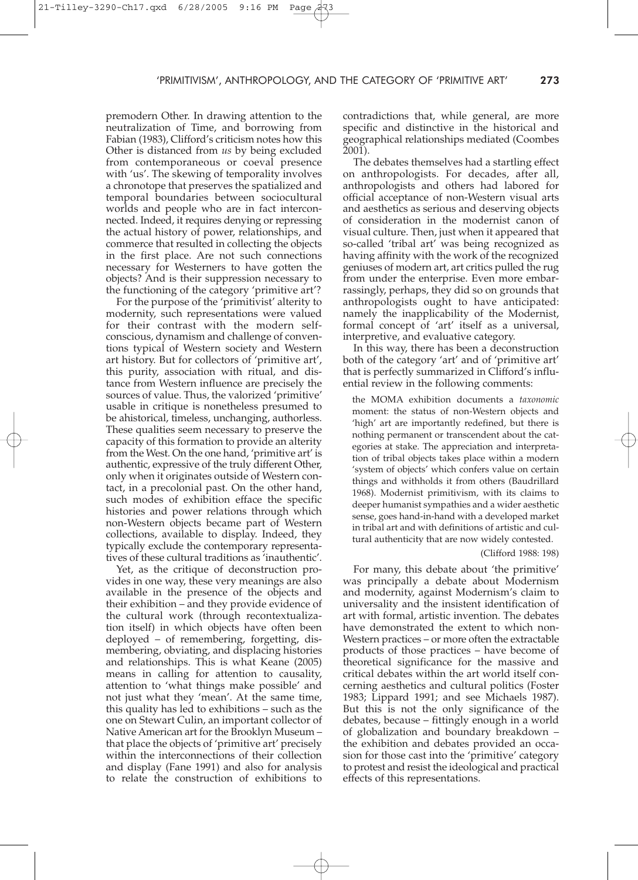premodern Other. In drawing attention to the neutralization of Time, and borrowing from Fabian (1983), Clifford's criticism notes how this Other is distanced from *us* by being excluded from contemporaneous or coeval presence with 'us'. The skewing of temporality involves a chronotope that preserves the spatialized and temporal boundaries between sociocultural worlds and people who are in fact interconnected. Indeed, it requires denying or repressing the actual history of power, relationships, and commerce that resulted in collecting the objects in the first place. Are not such connections necessary for Westerners to have gotten the objects? And is their suppression necessary to the functioning of the category 'primitive art'?

21-Tilley-3290-Ch17.qxd 6/28/2005 9:16 PM

For the purpose of the 'primitivist' alterity to modernity, such representations were valued for their contrast with the modern selfconscious, dynamism and challenge of conventions typical of Western society and Western art history. But for collectors of 'primitive art', this purity, association with ritual, and distance from Western influence are precisely the sources of value. Thus, the valorized 'primitive' usable in critique is nonetheless presumed to be ahistorical, timeless, unchanging, authorless. These qualities seem necessary to preserve the capacity of this formation to provide an alterity from the West. On the one hand, 'primitive art' is authentic, expressive of the truly different Other, only when it originates outside of Western contact, in a precolonial past. On the other hand, such modes of exhibition efface the specific histories and power relations through which non-Western objects became part of Western collections, available to display. Indeed, they typically exclude the contemporary representatives of these cultural traditions as 'inauthentic'.

Yet, as the critique of deconstruction provides in one way, these very meanings are also available in the presence of the objects and their exhibition – and they provide evidence of the cultural work (through recontextualization itself) in which objects have often been deployed – of remembering, forgetting, dismembering, obviating, and displacing histories and relationships. This is what Keane (2005) means in calling for attention to causality, attention to 'what things make possible' and not just what they 'mean'. At the same time, this quality has led to exhibitions – such as the one on Stewart Culin, an important collector of Native American art for the Brooklyn Museum – that place the objects of 'primitive art' precisely within the interconnections of their collection and display (Fane 1991) and also for analysis to relate the construction of exhibitions to

contradictions that, while general, are more specific and distinctive in the historical and geographical relationships mediated (Coombes 2001).

The debates themselves had a startling effect on anthropologists. For decades, after all, anthropologists and others had labored for official acceptance of non-Western visual arts and aesthetics as serious and deserving objects of consideration in the modernist canon of visual culture. Then, just when it appeared that so-called 'tribal art' was being recognized as having affinity with the work of the recognized geniuses of modern art, art critics pulled the rug from under the enterprise. Even more embarrassingly, perhaps, they did so on grounds that anthropologists ought to have anticipated: namely the inapplicability of the Modernist, formal concept of 'art' itself as a universal, interpretive, and evaluative category.

In this way, there has been a deconstruction both of the category 'art' and of 'primitive art' that is perfectly summarized in Clifford's influential review in the following comments:

the MOMA exhibition documents a *taxonomic* moment: the status of non-Western objects and 'high' art are importantly redefined, but there is nothing permanent or transcendent about the categories at stake. The appreciation and interpretation of tribal objects takes place within a modern 'system of objects' which confers value on certain things and withholds it from others (Baudrillard 1968). Modernist primitivism, with its claims to deeper humanist sympathies and a wider aesthetic sense, goes hand-in-hand with a developed market in tribal art and with definitions of artistic and cultural authenticity that are now widely contested.

#### (Clifford 1988: 198)

For many, this debate about 'the primitive' was principally a debate about Modernism and modernity, against Modernism's claim to universality and the insistent identification of art with formal, artistic invention. The debates have demonstrated the extent to which non-Western practices – or more often the extractable products of those practices – have become of theoretical significance for the massive and critical debates within the art world itself concerning aesthetics and cultural politics (Foster 1983; Lippard 1991; and see Michaels 1987). But this is not the only significance of the debates, because – fittingly enough in a world of globalization and boundary breakdown – the exhibition and debates provided an occasion for those cast into the 'primitive' category to protest and resist the ideological and practical effects of this representations.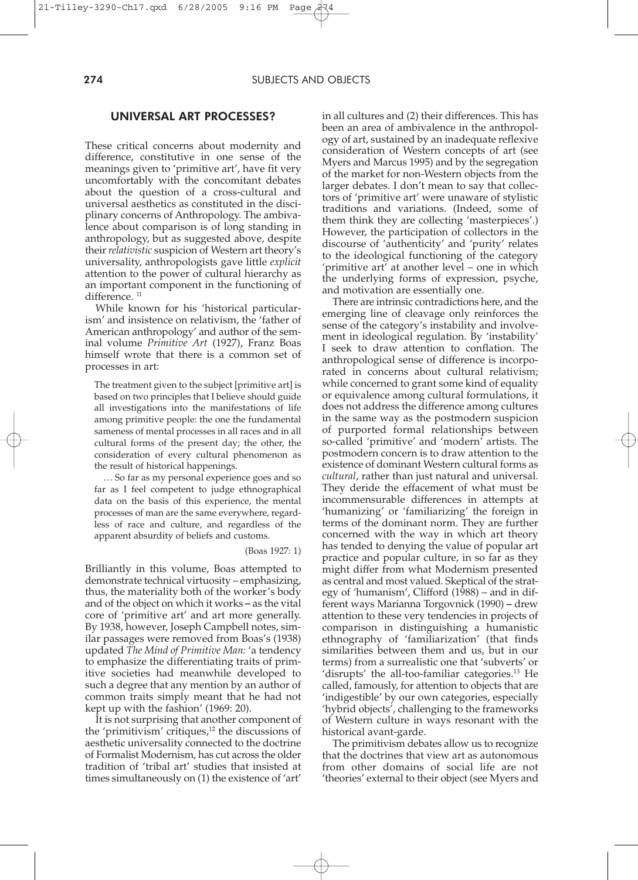## UNIVERSAL ART PROCESSES?

These critical concerns about modernity and difference, constitutive in one sense of the meanings given to 'primitive art', have fit very uncomfortably with the concomitant debates about the question of a cross-cultural and universal aesthetics as constituted in the disciplinary concerns of Anthropology. The ambivalence about comparison is of long standing in anthropology, but as suggested above, despite their *relativistic* suspicion of Western art theory's universality, anthropologists gave little *explicit* attention to the power of cultural hierarchy as an important component in the functioning of difference.<sup>11</sup>

While known for his 'historical particularism' and insistence on relativism, the 'father of American anthropology' and author of the seminal volume *Primitive Art* (1927), Franz Boas himself wrote that there is a common set of processes in art:

The treatment given to the subject [primitive art] is based on two principles that I believe should guide all investigations into the manifestations of life among primitive people: the one the fundamental sameness of mental processes in all races and in all cultural forms of the present day; the other, the consideration of every cultural phenomenon as the result of historical happenings.

... So far as my personal experience goes and so far as I feel competent to judge ethnographical data on the basis of this experience, the mental processes of man are the same everywhere, regardless of race and culture, and regardless of the apparent absurdity of beliefs and customs.

#### (Boas 1927: 1)

Brilliantly in this volume, Boas attempted to demonstrate technical virtuosity – emphasizing, thus, the materiality both of the worker's body and of the object on which it works **–** as the vital core of 'primitive art' and art more generally. By 1938, however, Joseph Campbell notes, similar passages were removed from Boas's (1938) updated *The Mind of Primitive Man:* 'a tendency to emphasize the differentiating traits of primitive societies had meanwhile developed to such a degree that any mention by an author of common traits simply meant that he had not kept up with the fashion' (1969: 20).

It is not surprising that another component of the 'primitivism' critiques,<sup>12</sup> the discussions of aesthetic universality connected to the doctrine of Formalist Modernism, has cut across the older tradition of 'tribal art' studies that insisted at times simultaneously on (1) the existence of 'art'

in all cultures and (2) their differences. This has been an area of ambivalence in the anthropology of art, sustained by an inadequate reflexive consideration of Western concepts of art (see Myers and Marcus 1995) and by the segregation of the market for non-Western objects from the larger debates. I don't mean to say that collectors of 'primitive art' were unaware of stylistic traditions and variations. (Indeed, some of them think they are collecting 'masterpieces'.) However, the participation of collectors in the discourse of 'authenticity' and 'purity' relates to the ideological functioning of the category 'primitive art' at another level – one in which the underlying forms of expression, psyche, and motivation are essentially one.

There are intrinsic contradictions here, and the emerging line of cleavage only reinforces the sense of the category's instability and involvement in ideological regulation. By 'instability' I seek to draw attention to conflation. The anthropological sense of difference is incorporated in concerns about cultural relativism; while concerned to grant some kind of equality or equivalence among cultural formulations, it does not address the difference among cultures in the same way as the postmodern suspicion of purported formal relationships between so-called 'primitive' and 'modern' artists. The postmodern concern is to draw attention to the existence of dominant Western cultural forms as *cultural*, rather than just natural and universal. They deride the effacement of what must be incommensurable differences in attempts at 'humanizing' or 'familiarizing' the foreign in terms of the dominant norm. They are further concerned with the way in which art theory has tended to denying the value of popular art practice and popular culture, in so far as they might differ from what Modernism presented as central and most valued. Skeptical of the strategy of 'humanism', Clifford (1988) – and in different ways Marianna Torgovnick (1990) **–** drew attention to these very tendencies in projects of comparison in distinguishing a humanistic ethnography of 'familiarization' (that finds similarities between them and us, but in our terms) from a surrealistic one that 'subverts' or 'disrupts' the all-too-familiar categories.<sup>13</sup> He called, famously, for attention to objects that are 'indigestible' by our own categories, especially 'hybrid objects', challenging to the frameworks of Western culture in ways resonant with the historical avant-garde.

The primitivism debates allow us to recognize that the doctrines that view art as autonomous from other domains of social life are not 'theories' external to their object (see Myers and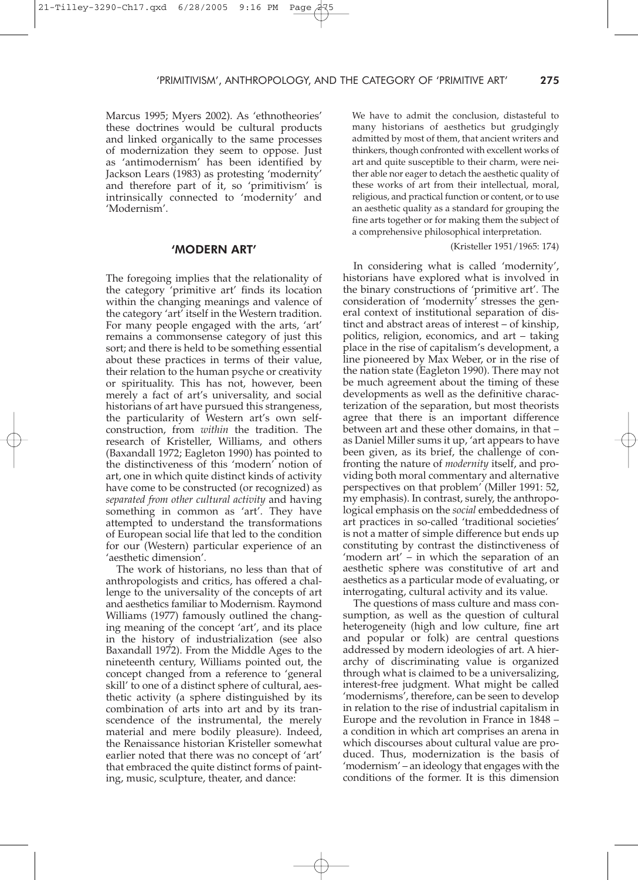Marcus 1995; Myers 2002). As 'ethnotheories' these doctrines would be cultural products and linked organically to the same processes of modernization they seem to oppose. Just as 'antimodernism' has been identified by Jackson Lears (1983) as protesting 'modernity' and therefore part of it, so 'primitivism' is intrinsically connected to 'modernity' and 'Modernism'.

### 'MODERN ART'

The foregoing implies that the relationality of the category 'primitive art' finds its location within the changing meanings and valence of the category 'art' itself in the Western tradition. For many people engaged with the arts, 'art' remains a commonsense category of just this sort; and there is held to be something essential about these practices in terms of their value, their relation to the human psyche or creativity or spirituality. This has not, however, been merely a fact of art's universality, and social historians of art have pursued this strangeness, the particularity of Western art's own selfconstruction, from *within* the tradition. The research of Kristeller, Williams, and others (Baxandall 1972; Eagleton 1990) has pointed to the distinctiveness of this 'modern' notion of art, one in which quite distinct kinds of activity have come to be constructed (or recognized) as *separated from other cultural activity* and having something in common as 'art'. They have attempted to understand the transformations of European social life that led to the condition for our (Western) particular experience of an 'aesthetic dimension'.

The work of historians, no less than that of anthropologists and critics, has offered a challenge to the universality of the concepts of art and aesthetics familiar to Modernism. Raymond Williams (1977) famously outlined the changing meaning of the concept 'art', and its place in the history of industrialization (see also Baxandall 1972). From the Middle Ages to the nineteenth century, Williams pointed out, the concept changed from a reference to 'general skill' to one of a distinct sphere of cultural, aesthetic activity (a sphere distinguished by its combination of arts into art and by its transcendence of the instrumental, the merely material and mere bodily pleasure). Indeed, the Renaissance historian Kristeller somewhat earlier noted that there was no concept of 'art' that embraced the quite distinct forms of painting, music, sculpture, theater, and dance:

We have to admit the conclusion, distasteful to many historians of aesthetics but grudgingly admitted by most of them, that ancient writers and thinkers, though confronted with excellent works of art and quite susceptible to their charm, were neither able nor eager to detach the aesthetic quality of these works of art from their intellectual, moral, religious, and practical function or content, or to use an aesthetic quality as a standard for grouping the fine arts together or for making them the subject of a comprehensive philosophical interpretation.

#### (Kristeller 1951/1965: 174)

In considering what is called 'modernity', historians have explored what is involved in the binary constructions of 'primitive art'. The consideration of 'modernity' stresses the general context of institutional separation of distinct and abstract areas of interest – of kinship, politics, religion, economics, and art – taking place in the rise of capitalism's development, a line pioneered by Max Weber, or in the rise of the nation state (Eagleton 1990). There may not be much agreement about the timing of these developments as well as the definitive characterization of the separation, but most theorists agree that there is an important difference between art and these other domains, in that – as Daniel Miller sums it up, 'art appears to have been given, as its brief, the challenge of confronting the nature of *modernity* itself, and providing both moral commentary and alternative perspectives on that problem' (Miller 1991: 52, my emphasis). In contrast, surely, the anthropological emphasis on the *social* embeddedness of art practices in so-called 'traditional societies' is not a matter of simple difference but ends up constituting by contrast the distinctiveness of 'modern art' – in which the separation of an aesthetic sphere was constitutive of art and aesthetics as a particular mode of evaluating, or interrogating, cultural activity and its value.

The questions of mass culture and mass consumption, as well as the question of cultural heterogeneity (high and low culture, fine art and popular or folk) are central questions addressed by modern ideologies of art. A hierarchy of discriminating value is organized through what is claimed to be a universalizing, interest-free judgment. What might be called 'modernisms', therefore, can be seen to develop in relation to the rise of industrial capitalism in Europe and the revolution in France in 1848 – a condition in which art comprises an arena in which discourses about cultural value are produced. Thus, modernization is the basis of 'modernism' – an ideology that engages with the conditions of the former. It is this dimension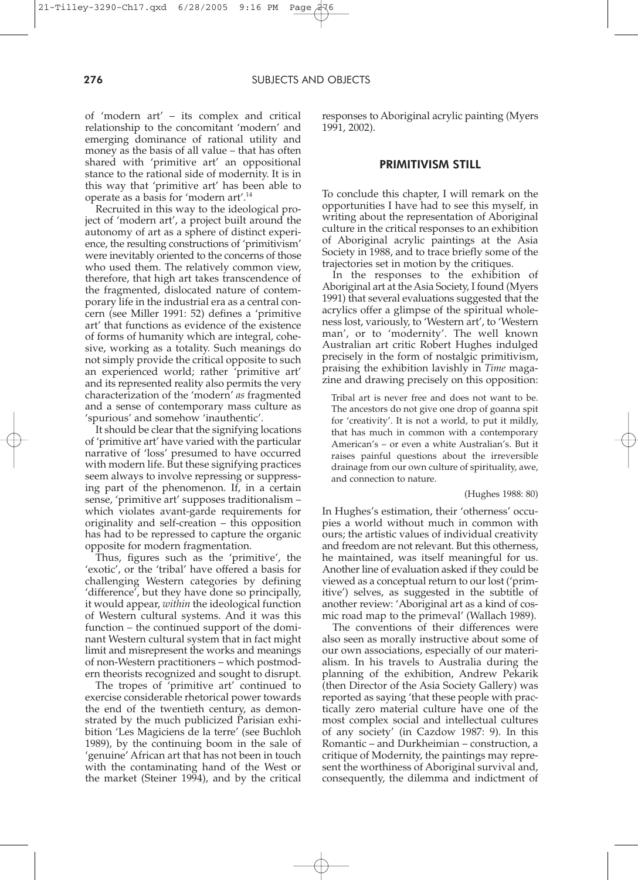of 'modern art' – its complex and critical relationship to the concomitant 'modern' and emerging dominance of rational utility and money as the basis of all value – that has often shared with 'primitive art' an oppositional stance to the rational side of modernity. It is in this way that 'primitive art' has been able to operate as a basis for 'modern art'.14

Recruited in this way to the ideological project of 'modern art', a project built around the autonomy of art as a sphere of distinct experience, the resulting constructions of 'primitivism' were inevitably oriented to the concerns of those who used them. The relatively common view, therefore, that high art takes transcendence of the fragmented, dislocated nature of contemporary life in the industrial era as a central concern (see Miller 1991: 52) defines a 'primitive art' that functions as evidence of the existence of forms of humanity which are integral, cohesive, working as a totality. Such meanings do not simply provide the critical opposite to such an experienced world; rather 'primitive art' and its represented reality also permits the very characterization of the 'modern' *as* fragmented and a sense of contemporary mass culture as 'spurious' and somehow 'inauthentic'.

It should be clear that the signifying locations of 'primitive art' have varied with the particular narrative of 'loss' presumed to have occurred with modern life. But these signifying practices seem always to involve repressing or suppressing part of the phenomenon. If, in a certain sense, 'primitive art' supposes traditionalism – which violates avant-garde requirements for originality and self-creation – this opposition has had to be repressed to capture the organic opposite for modern fragmentation.

Thus, figures such as the 'primitive', the 'exotic', or the 'tribal' have offered a basis for challenging Western categories by defining 'difference', but they have done so principally, it would appear, *within* the ideological function of Western cultural systems. And it was this function – the continued support of the dominant Western cultural system that in fact might limit and misrepresent the works and meanings of non-Western practitioners – which postmodern theorists recognized and sought to disrupt.

The tropes of 'primitive art' continued to exercise considerable rhetorical power towards the end of the twentieth century, as demonstrated by the much publicized Parisian exhibition 'Les Magiciens de la terre' (see Buchloh 1989), by the continuing boom in the sale of 'genuine' African art that has not been in touch with the contaminating hand of the West or the market (Steiner 1994), and by the critical responses to Aboriginal acrylic painting (Myers 1991, 2002).

## PRIMITIVISM STILL

To conclude this chapter, I will remark on the opportunities I have had to see this myself, in writing about the representation of Aboriginal culture in the critical responses to an exhibition of Aboriginal acrylic paintings at the Asia Society in 1988, and to trace briefly some of the trajectories set in motion by the critiques.

In the responses to the exhibition of Aboriginal art at the Asia Society, I found (Myers 1991) that several evaluations suggested that the acrylics offer a glimpse of the spiritual wholeness lost, variously, to 'Western art', to 'Western man', or to 'modernity'. The well known Australian art critic Robert Hughes indulged precisely in the form of nostalgic primitivism, praising the exhibition lavishly in *Time* magazine and drawing precisely on this opposition:

Tribal art is never free and does not want to be. The ancestors do not give one drop of goanna spit for 'creativity'. It is not a world, to put it mildly, that has much in common with a contemporary American's – or even a white Australian's. But it raises painful questions about the irreversible drainage from our own culture of spirituality, awe, and connection to nature.

#### (Hughes 1988: 80)

In Hughes's estimation, their 'otherness' occupies a world without much in common with ours; the artistic values of individual creativity and freedom are not relevant. But this otherness, he maintained, was itself meaningful for us. Another line of evaluation asked if they could be viewed as a conceptual return to our lost ('primitive') selves, as suggested in the subtitle of another review: 'Aboriginal art as a kind of cosmic road map to the primeval' (Wallach 1989).

The conventions of their differences were also seen as morally instructive about some of our own associations, especially of our materialism. In his travels to Australia during the planning of the exhibition, Andrew Pekarik (then Director of the Asia Society Gallery) was reported as saying 'that these people with practically zero material culture have one of the most complex social and intellectual cultures of any society' (in Cazdow 1987: 9). In this Romantic – and Durkheimian – construction, a critique of Modernity, the paintings may represent the worthiness of Aboriginal survival and, consequently, the dilemma and indictment of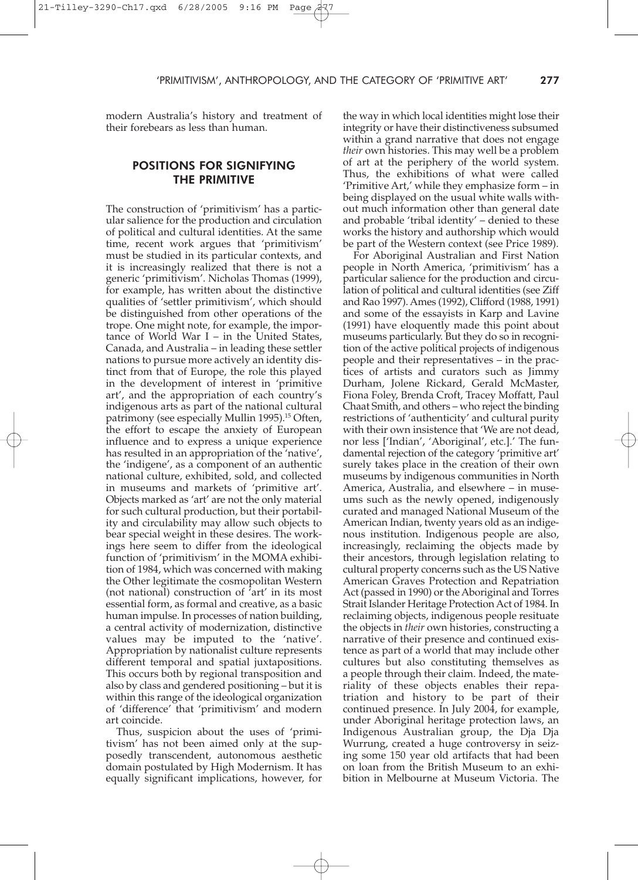modern Australia's history and treatment of their forebears as less than human.

## POSITIONS FOR SIGNIFYING THE PRIMITIVE

The construction of 'primitivism' has a particular salience for the production and circulation of political and cultural identities. At the same time, recent work argues that 'primitivism' must be studied in its particular contexts, and it is increasingly realized that there is not a generic 'primitivism'. Nicholas Thomas (1999), for example, has written about the distinctive qualities of 'settler primitivism', which should be distinguished from other operations of the trope. One might note, for example, the importance of World War I – in the United States, Canada, and Australia – in leading these settler nations to pursue more actively an identity distinct from that of Europe, the role this played in the development of interest in 'primitive art', and the appropriation of each country's indigenous arts as part of the national cultural patrimony (see especially Mullin 1995).<sup>15</sup> Often, the effort to escape the anxiety of European influence and to express a unique experience has resulted in an appropriation of the 'native', the 'indigene', as a component of an authentic national culture, exhibited, sold, and collected in museums and markets of 'primitive art'. Objects marked as 'art' are not the only material for such cultural production, but their portability and circulability may allow such objects to bear special weight in these desires. The workings here seem to differ from the ideological function of 'primitivism' in the MOMA exhibition of 1984, which was concerned with making the Other legitimate the cosmopolitan Western (not national) construction of 'art' in its most essential form, as formal and creative, as a basic human impulse. In processes of nation building, a central activity of modernization, distinctive values may be imputed to the 'native'. Appropriation by nationalist culture represents different temporal and spatial juxtapositions. This occurs both by regional transposition and also by class and gendered positioning – but it is within this range of the ideological organization of 'difference' that 'primitivism' and modern art coincide.

Thus, suspicion about the uses of 'primitivism' has not been aimed only at the supposedly transcendent, autonomous aesthetic domain postulated by High Modernism. It has equally significant implications, however, for the way in which local identities might lose their integrity or have their distinctiveness subsumed within a grand narrative that does not engage *their* own histories. This may well be a problem of art at the periphery of the world system. Thus, the exhibitions of what were called 'Primitive Art,' while they emphasize form – in being displayed on the usual white walls without much information other than general date and probable 'tribal identity' – denied to these works the history and authorship which would be part of the Western context (see Price 1989).

For Aboriginal Australian and First Nation people in North America, 'primitivism' has a particular salience for the production and circulation of political and cultural identities (see Ziff and Rao 1997). Ames (1992), Clifford (1988, 1991) and some of the essayists in Karp and Lavine (1991) have eloquently made this point about museums particularly. But they do so in recognition of the active political projects of indigenous people and their representatives – in the practices of artists and curators such as Jimmy Durham, Jolene Rickard, Gerald McMaster, Fiona Foley, Brenda Croft, Tracey Moffatt, Paul Chaat Smith, and others – who reject the binding restrictions of 'authenticity' and cultural purity with their own insistence that 'We are not dead, nor less ['Indian', 'Aboriginal', etc.].' The fundamental rejection of the category 'primitive art' surely takes place in the creation of their own museums by indigenous communities in North America, Australia, and elsewhere – in museums such as the newly opened, indigenously curated and managed National Museum of the American Indian, twenty years old as an indigenous institution. Indigenous people are also, increasingly, reclaiming the objects made by their ancestors, through legislation relating to cultural property concerns such as the US Native American Graves Protection and Repatriation Act (passed in 1990) or the Aboriginal and Torres Strait Islander Heritage Protection Act of 1984. In reclaiming objects, indigenous people resituate the objects in *their* own histories, constructing a narrative of their presence and continued existence as part of a world that may include other cultures but also constituting themselves as a people through their claim. Indeed, the materiality of these objects enables their repatriation and history to be part of their continued presence. In July 2004, for example, under Aboriginal heritage protection laws, an Indigenous Australian group, the Dja Dja Wurrung, created a huge controversy in seizing some 150 year old artifacts that had been on loan from the British Museum to an exhibition in Melbourne at Museum Victoria. The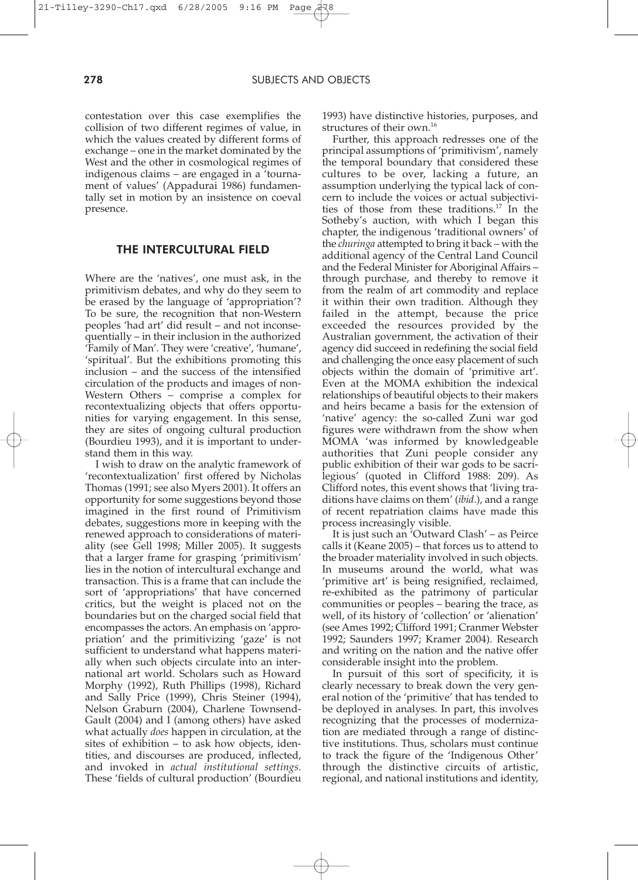contestation over this case exemplifies the collision of two different regimes of value, in which the values created by different forms of exchange – one in the market dominated by the West and the other in cosmological regimes of indigenous claims – are engaged in a 'tournament of values' (Appadurai 1986) fundamentally set in motion by an insistence on coeval presence.

## THE INTERCULTURAL FIELD

Where are the 'natives', one must ask, in the primitivism debates, and why do they seem to be erased by the language of 'appropriation'? To be sure, the recognition that non-Western peoples 'had art' did result – and not inconsequentially – in their inclusion in the authorized 'Family of Man'. They were 'creative', 'humane', 'spiritual'. But the exhibitions promoting this inclusion – and the success of the intensified circulation of the products and images of non-Western Others – comprise a complex for recontextualizing objects that offers opportunities for varying engagement. In this sense, they are sites of ongoing cultural production (Bourdieu 1993), and it is important to understand them in this way.

I wish to draw on the analytic framework of 'recontextualization' first offered by Nicholas Thomas (1991; see also Myers 2001). It offers an opportunity for some suggestions beyond those imagined in the first round of Primitivism debates, suggestions more in keeping with the renewed approach to considerations of materiality (see Gell 1998; Miller 2005). It suggests that a larger frame for grasping 'primitivism' lies in the notion of intercultural exchange and transaction. This is a frame that can include the sort of 'appropriations' that have concerned critics, but the weight is placed not on the boundaries but on the charged social field that encompasses the actors. An emphasis on 'appropriation' and the primitivizing 'gaze' is not sufficient to understand what happens materially when such objects circulate into an international art world. Scholars such as Howard Morphy (1992), Ruth Phillips (1998), Richard and Sally Price (1999), Chris Steiner (1994), Nelson Graburn (2004), Charlene Townsend-Gault (2004) and I (among others) have asked what actually *does* happen in circulation, at the sites of exhibition –  $\hat{t}$ o ask how objects, identities, and discourses are produced, inflected, and invoked in *actual institutional settings*. These 'fields of cultural production' (Bourdieu

1993) have distinctive histories, purposes, and structures of their own.16

Further, this approach redresses one of the principal assumptions of 'primitivism', namely the temporal boundary that considered these cultures to be over, lacking a future, an assumption underlying the typical lack of concern to include the voices or actual subjectivities of those from these traditions.<sup>17</sup> In the Sotheby's auction, with which I began this chapter, the indigenous 'traditional owners' of the *churinga* attempted to bring it back – with the additional agency of the Central Land Council and the Federal Minister for Aboriginal Affairs – through purchase, and thereby to remove it from the realm of art commodity and replace it within their own tradition. Although they failed in the attempt, because the price exceeded the resources provided by the Australian government, the activation of their agency did succeed in redefining the social field and challenging the once easy placement of such objects within the domain of 'primitive art'. Even at the MOMA exhibition the indexical relationships of beautiful objects to their makers and heirs became a basis for the extension of 'native' agency: the so-called Zuni war god figures were withdrawn from the show when MOMA 'was informed by knowledgeable authorities that Zuni people consider any public exhibition of their war gods to be sacrilegious' (quoted in Clifford 1988: 209). As Clifford notes, this event shows that 'living traditions have claims on them' (*ibid*.), and a range of recent repatriation claims have made this process increasingly visible.

It is just such an 'Outward Clash' – as Peirce calls it (Keane 2005) – that forces us to attend to the broader materiality involved in such objects. In museums around the world, what was 'primitive art' is being resignified, reclaimed, re-exhibited as the patrimony of particular communities or peoples – bearing the trace, as well, of its history of 'collection' or 'alienation' (see Ames 1992; Clifford 1991; Cranmer Webster 1992; Saunders 1997; Kramer 2004). Research and writing on the nation and the native offer considerable insight into the problem.

In pursuit of this sort of specificity, it is clearly necessary to break down the very general notion of the 'primitive' that has tended to be deployed in analyses. In part, this involves recognizing that the processes of modernization are mediated through a range of distinctive institutions. Thus, scholars must continue to track the figure of the 'Indigenous Other' through the distinctive circuits of artistic, regional, and national institutions and identity,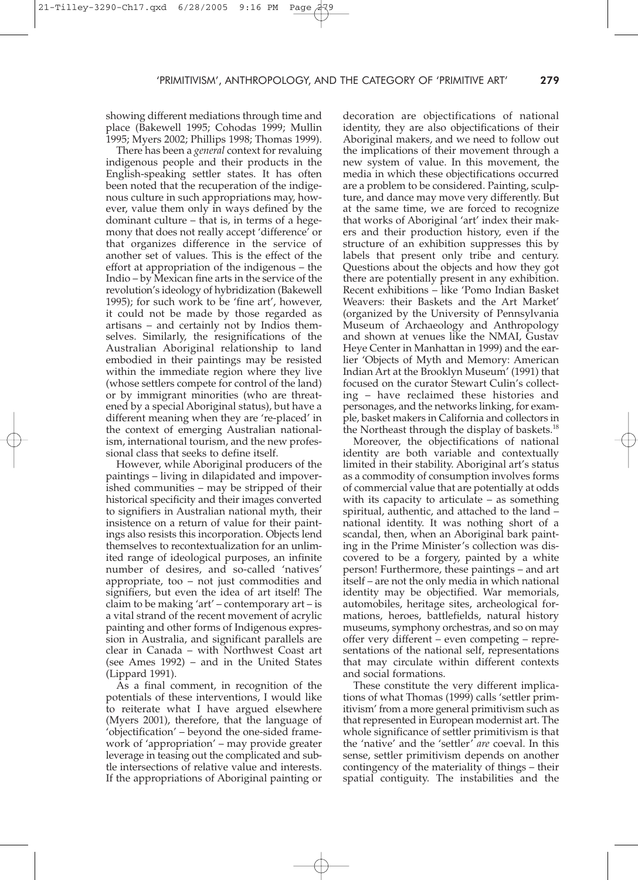showing different mediations through time and place (Bakewell 1995; Cohodas 1999; Mullin 1995; Myers 2002; Phillips 1998; Thomas 1999).

There has been a *general* context for revaluing indigenous people and their products in the English-speaking settler states. It has often been noted that the recuperation of the indigenous culture in such appropriations may, however, value them only in ways defined by the dominant culture – that is, in terms of a hegemony that does not really accept 'difference' or that organizes difference in the service of another set of values. This is the effect of the effort at appropriation of the indigenous – the Indio – by Mexican fine arts in the service of the revolution's ideology of hybridization (Bakewell 1995); for such work to be 'fine art', however, it could not be made by those regarded as artisans – and certainly not by Indios themselves. Similarly, the resignifications of the Australian Aboriginal relationship to land embodied in their paintings may be resisted within the immediate region where they live (whose settlers compete for control of the land) or by immigrant minorities (who are threatened by a special Aboriginal status), but have a different meaning when they are 're-placed' in the context of emerging Australian nationalism, international tourism, and the new professional class that seeks to define itself.

However, while Aboriginal producers of the paintings – living in dilapidated and impoverished communities – may be stripped of their historical specificity and their images converted to signifiers in Australian national myth, their insistence on a return of value for their paintings also resists this incorporation. Objects lend themselves to recontextualization for an unlimited range of ideological purposes, an infinite number of desires, and so-called 'natives' appropriate, too – not just commodities and signifiers, but even the idea of art itself! The claim to be making 'art' – contemporary art – is a vital strand of the recent movement of acrylic painting and other forms of Indigenous expression in Australia, and significant parallels are clear in Canada – with Northwest Coast art (see Ames 1992) – and in the United States (Lippard 1991).

As a final comment, in recognition of the potentials of these interventions, I would like to reiterate what I have argued elsewhere (Myers 2001), therefore, that the language of 'objectification' – beyond the one-sided framework of 'appropriation' – may provide greater leverage in teasing out the complicated and subtle intersections of relative value and interests. If the appropriations of Aboriginal painting or decoration are objectifications of national identity, they are also objectifications of their Aboriginal makers, and we need to follow out the implications of their movement through a new system of value. In this movement, the media in which these objectifications occurred are a problem to be considered. Painting, sculpture, and dance may move very differently. But at the same time, we are forced to recognize that works of Aboriginal 'art' index their makers and their production history, even if the structure of an exhibition suppresses this by labels that present only tribe and century. Questions about the objects and how they got there are potentially present in any exhibition. Recent exhibitions – like 'Pomo Indian Basket Weavers: their Baskets and the Art Market' (organized by the University of Pennsylvania Museum of Archaeology and Anthropology and shown at venues like the NMAI, Gustav Heye Center in Manhattan in 1999) and the earlier 'Objects of Myth and Memory: American Indian Art at the Brooklyn Museum' (1991) that focused on the curator Stewart Culin's collecting – have reclaimed these histories and personages, and the networks linking, for example, basket makers in California and collectors in the Northeast through the display of baskets.<sup>18</sup>

Moreover, the objectifications of national identity are both variable and contextually limited in their stability. Aboriginal art's status as a commodity of consumption involves forms of commercial value that are potentially at odds with its capacity to articulate – as something spiritual, authentic, and attached to the land – national identity. It was nothing short of a scandal, then, when an Aboriginal bark painting in the Prime Minister's collection was discovered to be a forgery, painted by a white person! Furthermore, these paintings – and art itself – are not the only media in which national identity may be objectified. War memorials, automobiles, heritage sites, archeological formations, heroes, battlefields, natural history museums, symphony orchestras, and so on may offer very different – even competing – representations of the national self, representations that may circulate within different contexts and social formations.

These constitute the very different implications of what Thomas (1999) calls 'settler primitivism' from a more general primitivism such as that represented in European modernist art. The whole significance of settler primitivism is that the 'native' and the 'settler' *are* coeval. In this sense, settler primitivism depends on another contingency of the materiality of things – their spatial contiguity. The instabilities and the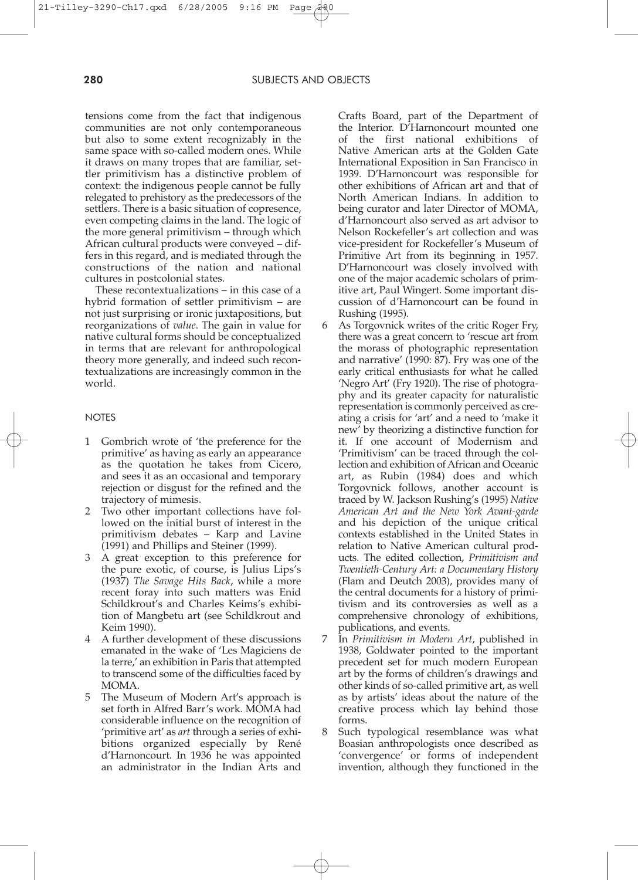tensions come from the fact that indigenous communities are not only contemporaneous but also to some extent recognizably in the same space with so-called modern ones. While it draws on many tropes that are familiar, settler primitivism has a distinctive problem of context: the indigenous people cannot be fully relegated to prehistory as the predecessors of the settlers. There is a basic situation of copresence, even competing claims in the land. The logic of the more general primitivism – through which African cultural products were conveyed – differs in this regard, and is mediated through the constructions of the nation and national cultures in postcolonial states.

These recontextualizations – in this case of a hybrid formation of settler primitivism – are not just surprising or ironic juxtapositions, but reorganizations of *value*. The gain in value for native cultural forms should be conceptualized in terms that are relevant for anthropological theory more generally, and indeed such recontextualizations are increasingly common in the world.

## **NOTES**

- 1 Gombrich wrote of 'the preference for the primitive' as having as early an appearance as the quotation he takes from Cicero, and sees it as an occasional and temporary rejection or disgust for the refined and the trajectory of mimesis.
- Two other important collections have followed on the initial burst of interest in the primitivism debates – Karp and Lavine (1991) and Phillips and Steiner (1999).
- 3 A great exception to this preference for the pure exotic, of course, is Julius Lips's (1937) *The Savage Hits Back*, while a more recent foray into such matters was Enid Schildkrout's and Charles Keims's exhibition of Mangbetu art (see Schildkrout and Keim 1990).
- 4 A further development of these discussions emanated in the wake of 'Les Magiciens de la terre,' an exhibition in Paris that attempted to transcend some of the difficulties faced by MOMA.
- 5 The Museum of Modern Art's approach is set forth in Alfred Barr's work. MOMA had considerable influence on the recognition of 'primitive art' as *art* through a series of exhibitions organized especially by René d'Harnoncourt. In 1936 he was appointed an administrator in the Indian Arts and

Crafts Board, part of the Department of the Interior. D'Harnoncourt mounted one of the first national exhibitions of Native American arts at the Golden Gate International Exposition in San Francisco in 1939. D'Harnoncourt was responsible for other exhibitions of African art and that of North American Indians. In addition to being curator and later Director of MOMA, d'Harnoncourt also served as art advisor to Nelson Rockefeller's art collection and was vice-president for Rockefeller's Museum of Primitive Art from its beginning in 1957. D'Harnoncourt was closely involved with one of the major academic scholars of primitive art, Paul Wingert. Some important discussion of d'Harnoncourt can be found in Rushing (1995).

- As Torgovnick writes of the critic Roger Fry, there was a great concern to 'rescue art from the morass of photographic representation and narrative' (1990: 87). Fry was one of the early critical enthusiasts for what he called 'Negro Art' (Fry 1920). The rise of photography and its greater capacity for naturalistic representation is commonly perceived as creating a crisis for 'art' and a need to 'make it new' by theorizing a distinctive function for it. If one account of Modernism and 'Primitivism' can be traced through the collection and exhibition of African and Oceanic art, as Rubin (1984) does and which Torgovnick follows, another account is traced by W. Jackson Rushing's (1995) *Native American Art and the New York Avant-garde* and his depiction of the unique critical contexts established in the United States in relation to Native American cultural products. The edited collection, *Primitivism and Twentieth-Century Art: a Documentary History* (Flam and Deutch 2003), provides many of the central documents for a history of primitivism and its controversies as well as a comprehensive chronology of exhibitions, publications, and events.
- 7 In *Primitivism in Modern Art*, published in 1938, Goldwater pointed to the important precedent set for much modern European art by the forms of children's drawings and other kinds of so-called primitive art, as well as by artists' ideas about the nature of the creative process which lay behind those forms.
- Such typological resemblance was what Boasian anthropologists once described as 'convergence' or forms of independent invention, although they functioned in the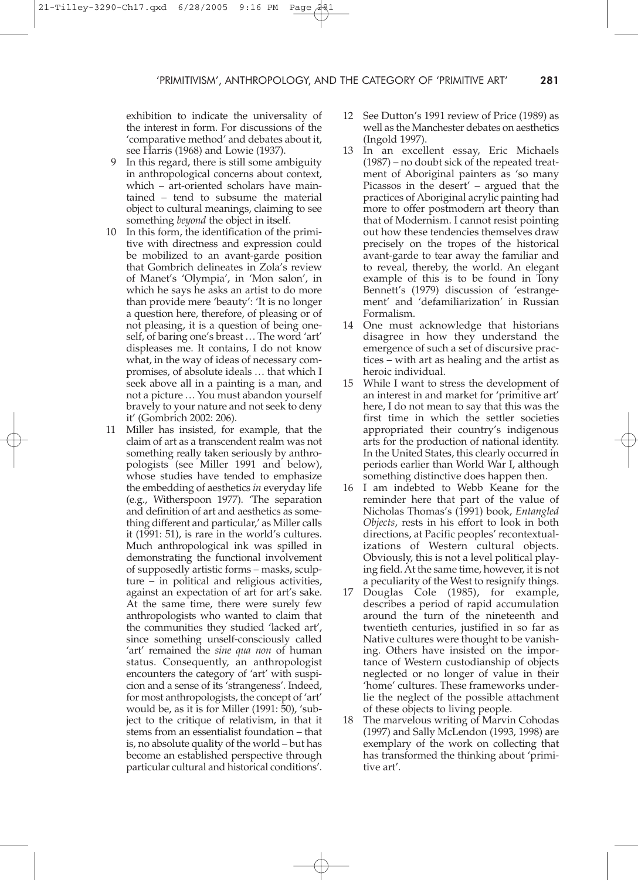exhibition to indicate the universality of the interest in form. For discussions of the 'comparative method' and debates about it, see Harris (1968) and Lowie (1937).

- In this regard, there is still some ambiguity in anthropological concerns about context, which – art-oriented scholars have maintained – tend to subsume the material object to cultural meanings, claiming to see something *beyond* the object in itself.
- 10 In this form, the identification of the primitive with directness and expression could be mobilized to an avant-garde position that Gombrich delineates in Zola's review of Manet's 'Olympia', in 'Mon salon', in which he says he asks an artist to do more than provide mere 'beauty': 'It is no longer a question here, therefore, of pleasing or of not pleasing, it is a question of being oneself, of baring one's breast ... The word 'art' displeases me. It contains, I do not know what, in the way of ideas of necessary compromises, of absolute ideals ... that which I seek above all in a painting is a man, and not a picture ... You must abandon yourself bravely to your nature and not seek to deny it' (Gombrich 2002: 206).
- 11 Miller has insisted, for example, that the claim of art as a transcendent realm was not something really taken seriously by anthropologists (see Miller 1991 and below), whose studies have tended to emphasize the embedding of aesthetics *in* everyday life (e.g., Witherspoon 1977). 'The separation and definition of art and aesthetics as something different and particular,' as Miller calls it (1991: 51), is rare in the world's cultures. Much anthropological ink was spilled in demonstrating the functional involvement of supposedly artistic forms – masks, sculpture – in political and religious activities, against an expectation of art for art's sake. At the same time, there were surely few anthropologists who wanted to claim that the communities they studied 'lacked art', since something unself-consciously called 'art' remained the *sine qua non* of human status. Consequently, an anthropologist encounters the category of 'art' with suspicion and a sense of its 'strangeness'. Indeed, for most anthropologists, the concept of 'art' would be, as it is for Miller (1991: 50), 'subject to the critique of relativism, in that it stems from an essentialist foundation – that is, no absolute quality of the world – but has become an established perspective through particular cultural and historical conditions'.
- 12 See Dutton's 1991 review of Price (1989) as well as the Manchester debates on aesthetics (Ingold 1997).
- 13 In an excellent essay, Eric Michaels (1987) – no doubt sick of the repeated treatment of Aboriginal painters as 'so many Picassos in the desert' – argued that the practices of Aboriginal acrylic painting had more to offer postmodern art theory than that of Modernism. I cannot resist pointing out how these tendencies themselves draw precisely on the tropes of the historical avant-garde to tear away the familiar and to reveal, thereby, the world. An elegant example of this is to be found in Tony Bennett's (1979) discussion of 'estrangement' and 'defamiliarization' in Russian Formalism.
- 14 One must acknowledge that historians disagree in how they understand the emergence of such a set of discursive practices – with art as healing and the artist as heroic individual.
- 15 While I want to stress the development of an interest in and market for 'primitive art' here, I do not mean to say that this was the first time in which the settler societies appropriated their country's indigenous arts for the production of national identity. In the United States, this clearly occurred in periods earlier than World War I, although something distinctive does happen then.
- 16 I am indebted to Webb Keane for the reminder here that part of the value of Nicholas Thomas's (1991) book, *Entangled Objects*, rests in his effort to look in both directions, at Pacific peoples' recontextualizations of Western cultural objects. Obviously, this is not a level political playing field. At the same time, however, it is not a peculiarity of the West to resignify things.
- 17 Douglas Cole (1985), for example, describes a period of rapid accumulation around the turn of the nineteenth and twentieth centuries, justified in so far as Native cultures were thought to be vanishing. Others have insisted on the importance of Western custodianship of objects neglected or no longer of value in their 'home' cultures. These frameworks underlie the neglect of the possible attachment of these objects to living people.
- The marvelous writing of Marvin Cohodas (1997) and Sally McLendon (1993, 1998) are exemplary of the work on collecting that has transformed the thinking about 'primitive art'.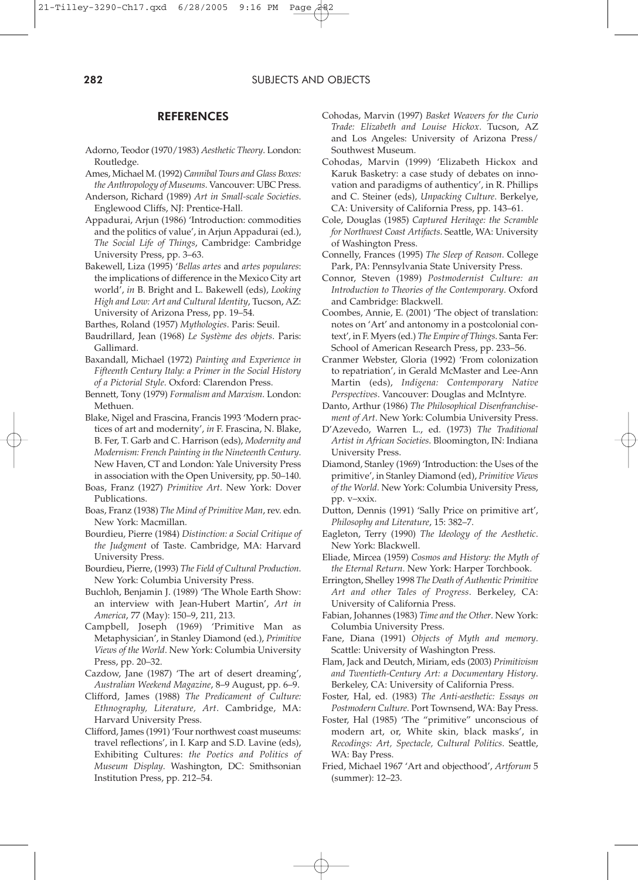## 282 SUBJECTS AND OBJECTS

#### **REFERENCES**

- Adorno, Teodor (1970/1983) *Aesthetic Theory*. London: Routledge.
- Ames, Michael M. (1992) *Cannibal Tours and Glass Boxes: the Anthropology of Museums*. Vancouver: UBC Press.
- Anderson, Richard (1989) *Art in Small-scale Societies*. Englewood Cliffs, NJ: Prentice-Hall.
- Appadurai, Arjun (1986) 'Introduction: commodities and the politics of value', in Arjun Appadurai (ed.), *The Social Life of Things*, Cambridge: Cambridge University Press, pp. 3–63.
- Bakewell, Liza (1995) '*Bellas artes* and *artes populares*: the implications of difference in the Mexico City art world', *in* B. Bright and L. Bakewell (eds), *Looking High and Low: Art and Cultural Identity*, Tucson, AZ: University of Arizona Press, pp. 19–54.
- Barthes, Roland (1957) *Mythologies*. Paris: Seuil.
- Baudrillard, Jean (1968) *Le Système des objets*. Paris: Gallimard.
- Baxandall, Michael (1972) *Painting and Experience in Fifteenth Century Italy: a Primer in the Social History of a Pictorial Style*. Oxford: Clarendon Press.
- Bennett, Tony (1979) *Formalism and Marxism*. London: Methuen.
- Blake, Nigel and Frascina, Francis 1993 'Modern practices of art and modernity', *in* F. Frascina, N. Blake, B. Fer, T. Garb and C. Harrison (eds), *Modernity and Modernism: French Painting in the Nineteenth Century*. New Haven, CT and London: Yale University Press in association with the Open University, pp. 50–140.
- Boas, Franz (1927) *Primitive Art*. New York: Dover Publications.
- Boas, Franz (1938) *The Mind of Primitive Man*, rev. edn. New York: Macmillan.
- Bourdieu, Pierre (1984) *Distinction: a Social Critique of the Judgment* of Taste. Cambridge, MA: Harvard University Press.
- Bourdieu, Pierre, (1993) *The Field of Cultural Production*. New York: Columbia University Press.
- Buchloh, Benjamin J. (1989) 'The Whole Earth Show: an interview with Jean-Hubert Martin', *Art in America*, 77 (May): 150–9, 211, 213.
- Campbell, Joseph (1969) 'Primitive Man as Metaphysician', in Stanley Diamond (ed.), *Primitive Views of the World*. New York: Columbia University Press, pp. 20–32.
- Cazdow, Jane (1987) 'The art of desert dreaming', *Australian Weekend Magazine*, 8–9 August, pp. 6–9.
- Clifford, James (1988) *The Predicament of Culture: Ethnography, Literature, Art*. Cambridge, MA: Harvard University Press.
- Clifford, James (1991) 'Four northwest coast museums: travel reflections', in I. Karp and S.D. Lavine (eds), Exhibiting Cultures: *the Poetics and Politics of Museum Display*. Washington, DC: Smithsonian Institution Press, pp. 212–54.
- Cohodas, Marvin (1997) *Basket Weavers for the Curio Trade: Elizabeth and Louise Hickox*. Tucson, AZ and Los Angeles: University of Arizona Press/ Southwest Museum.
- Cohodas, Marvin (1999) 'Elizabeth Hickox and Karuk Basketry: a case study of debates on innovation and paradigms of authenticy', in R. Phillips and C. Steiner (eds), *Unpacking Culture*. Berkelye, CA: University of California Press, pp. 143–61.
- Cole, Douglas (1985) *Captured Heritage: the Scramble for Northwest Coast Artifacts*. Seattle, WA: University of Washington Press.
- Connelly, Frances (1995) *The Sleep of Reason*. College Park, PA: Pennsylvania State University Press.
- Connor, Steven (1989) *Postmodernist Culture: an Introduction to Theories of the Contemporary*. Oxford and Cambridge: Blackwell.
- Coombes, Annie, E. (2001) 'The object of translation: notes on 'Art' and antonomy in a postcolonial context', in F. Myers (ed.) *The Empire of Things*. Santa Fer: School of American Research Press, pp. 233–56.
- Cranmer Webster, Gloria (1992) 'From colonization to repatriation', in Gerald McMaster and Lee-Ann Martin (eds), *Indigena: Contemporary Native Perspectives*. Vancouver: Douglas and McIntyre.
- Danto, Arthur (1986) *The Philosophical Disenfranchisement of Art*. New York: Columbia University Press.
- D'Azevedo, Warren L., ed. (1973) *The Traditional Artist in African Societies*. Bloomington, IN: Indiana University Press.
- Diamond, Stanley (1969) 'Introduction: the Uses of the primitive', in Stanley Diamond (ed), *Primitive Views of the World*. New York: Columbia University Press, pp. v–xxix.
- Dutton, Dennis (1991) 'Sally Price on primitive art', *Philosophy and Literature*, 15: 382–7.
- Eagleton, Terry (1990) *The Ideology of the Aesthetic*. New York: Blackwell.
- Eliade, Mircea (1959) *Cosmos and History: the Myth of the Eternal Return*. New York: Harper Torchbook.
- Errington, Shelley 1998 *The Death of Authentic Primitive Art and other Tales of Progress*. Berkeley, CA: University of California Press.
- Fabian, Johannes (1983) *Time and the Other*. New York: Columbia University Press.
- Fane, Diana (1991) *Objects of Myth and memory*. Scattle: University of Washington Press.
- Flam, Jack and Deutch, Miriam, eds (2003) *Primitivism and Twentieth-Century Art: a Documentary History*. Berkeley, CA: University of California Press.
- Foster, Hal, ed. (1983) *The Anti-aesthetic: Essays on Postmodern Culture*. Port Townsend, WA: Bay Press.
- Foster, Hal (1985) 'The "primitive" unconscious of modern art, or, White skin, black masks', in *Recodings: Art, Spectacle, Cultural Politics*. Seattle, WA: Bay Press.
- Fried, Michael 1967 'Art and objecthood', *Artforum* 5 (summer): 12–23.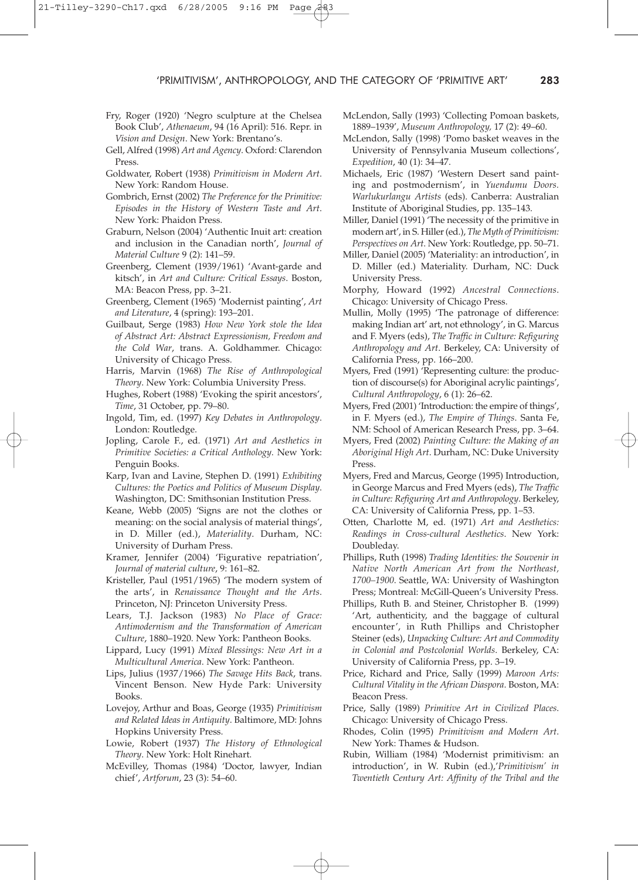'PRIMITIVISM', ANTHROPOLOGY, AND THE CATEGORY OF 'PRIMITIVE ART' 283

- Fry, Roger (1920) 'Negro sculpture at the Chelsea Book Club', *Athenaeum*, 94 (16 April): 516. Repr. in *Vision and Design*. New York: Brentano's.
- Gell, Alfred (1998) *Art and Agency*. Oxford: Clarendon Press.
- Goldwater, Robert (1938) *Primitivism in Modern Art*. New York: Random House.
- Gombrich, Ernst (2002) *The Preference for the Primitive: Episodes in the History of Western Taste and Art*. New York: Phaidon Press.
- Graburn, Nelson (2004) 'Authentic Inuit art: creation and inclusion in the Canadian north', *Journal of Material Culture* 9 (2): 141–59.
- Greenberg, Clement (1939/1961) 'Avant-garde and kitsch', in *Art and Culture: Critical Essays*. Boston, MA: Beacon Press, pp. 3–21.
- Greenberg, Clement (1965) 'Modernist painting', *Art and Literature*, 4 (spring): 193–201.
- Guilbaut, Serge (1983) *How New York stole the Idea of Abstract Art: Abstract Expressionism, Freedom and the Cold War*, trans. A. Goldhammer. Chicago: University of Chicago Press.
- Harris, Marvin (1968) *The Rise of Anthropological Theory*. New York: Columbia University Press.
- Hughes, Robert (1988) 'Evoking the spirit ancestors', *Time*, 31 October, pp. 79–80.
- Ingold, Tim, ed. (1997) *Key Debates in Anthropology*. London: Routledge.
- Jopling, Carole F., ed. (1971) *Art and Aesthetics in Primitive Societies: a Critical Anthology*. New York: Penguin Books.
- Karp, Ivan and Lavine, Stephen D. (1991) *Exhibiting Cultures: the Poetics and Politics of Museum Display*. Washington, DC: Smithsonian Institution Press.
- Keane, Webb (2005) 'Signs are not the clothes or meaning: on the social analysis of material things', in D. Miller (ed.), *Materiality*. Durham, NC: University of Durham Press.
- Kramer, Jennifer (2004) 'Figurative repatriation', *Journal of material culture*, 9: 161–82.
- Kristeller, Paul (1951/1965) 'The modern system of the arts', in *Renaissance Thought and the Arts*. Princeton, NJ: Princeton University Press.
- Lears, T.J. Jackson (1983) *No Place of Grace: Antimodernism and the Transformation of American Culture*, 1880–1920. New York: Pantheon Books.
- Lippard, Lucy (1991) *Mixed Blessings: New Art in a Multicultural America*. New York: Pantheon.
- Lips, Julius (1937/1966) *The Savage Hits Back*, trans. Vincent Benson. New Hyde Park: University Books.
- Lovejoy, Arthur and Boas, George (1935) *Primitivism and Related Ideas in Antiquity*. Baltimore, MD: Johns Hopkins University Press.
- Lowie, Robert (1937) *The History of Ethnological Theory*. New York: Holt Rinehart.
- McEvilley, Thomas (1984) 'Doctor, lawyer, Indian chief', *Artforum*, 23 (3): 54–60.
- McLendon, Sally (1993) 'Collecting Pomoan baskets, 1889–1939', *Museum Anthropology,* 17 (2): 49–60.
- McLendon, Sally (1998) 'Pomo basket weaves in the University of Pennsylvania Museum collections', *Expedition*, 40 (1): 34–47.
- Michaels, Eric (1987) 'Western Desert sand painting and postmodernism', in *Yuendumu Doors. Warlukurlangu Artists* (eds). Canberra: Australian Institute of Aboriginal Studies, pp. 135–143.
- Miller, Daniel (1991) 'The necessity of the primitive in modern art', in S. Hiller (ed.), *The Myth of Primitivism: Perspectives on Art*. New York: Routledge, pp. 50–71.
- Miller, Daniel (2005) 'Materiality: an introduction', in D. Miller (ed.) Materiality. Durham, NC: Duck University Press.
- Morphy, Howard (1992) *Ancestral Connections*. Chicago: University of Chicago Press.
- Mullin, Molly (1995) 'The patronage of difference: making Indian art' art, not ethnology', in G. Marcus and F. Myers (eds), *The Traffic in Culture: Refiguring Anthropology and Art*. Berkeley, CA: University of California Press, pp. 166–200.
- Myers, Fred (1991) 'Representing culture: the production of discourse(s) for Aboriginal acrylic paintings', *Cultural Anthropology*, 6 (1): 26–62.
- Myers, Fred (2001) 'Introduction: the empire of things', in F. Myers (ed.), *The Empire of Things*. Santa Fe, NM: School of American Research Press, pp. 3–64.
- Myers, Fred (2002) *Painting Culture: the Making of an Aboriginal High Art*. Durham, NC: Duke University Press.
- Myers, Fred and Marcus, George (1995) Introduction, in George Marcus and Fred Myers (eds), *The Traffic in Culture: Refiguring Art and Anthropology*. Berkeley, CA: University of California Press, pp. 1–53.
- Otten, Charlotte M, ed. (1971) *Art and Aesthetics: Readings in Cross-cultural Aesthetics*. New York: Doubleday.
- Phillips, Ruth (1998) *Trading Identities: the Souvenir in Native North American Art from the Northeast, 1700–1900*. Seattle, WA: University of Washington Press; Montreal: McGill-Queen's University Press.
- Phillips, Ruth B. and Steiner, Christopher B. (1999) 'Art, authenticity, and the baggage of cultural encounter', in Ruth Phillips and Christopher Steiner (eds), *Unpacking Culture: Art and Commodity in Colonial and Postcolonial Worlds*. Berkeley, CA: University of California Press, pp. 3–19.
- Price, Richard and Price, Sally (1999) *Maroon Arts: Cultural Vitality in the African Diaspora*. Boston, MA: Beacon Press.
- Price, Sally (1989) *Primitive Art in Civilized Places*. Chicago: University of Chicago Press.
- Rhodes, Colin (1995) *Primitivism and Modern Art*. New York: Thames & Hudson.
- Rubin, William (1984) 'Modernist primitivism: an introduction', in W. Rubin (ed.),'*Primitivism' in Twentieth Century Art: Affinity of the Tribal and the*